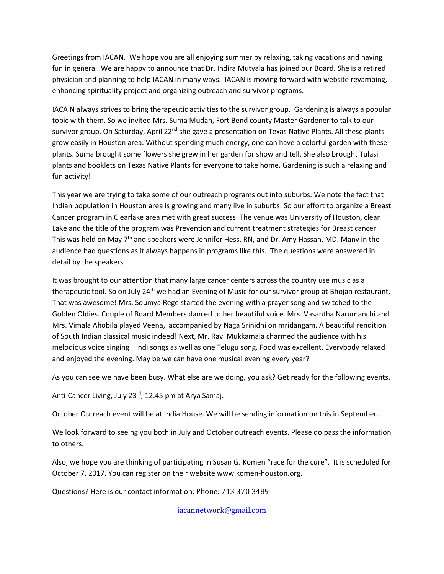Greetings from IACAN. We hope you are all enjoying summer by relaxing, taking vacations and having fun in general. We are happy to announce that Dr. Indira Mutyala has joined our Board. She is a retired physician and planning to help IACAN in many ways. IACAN is moving forward with website revamping, enhancing spirituality project and organizing outreach and survivor programs.

IACA N always strives to bring therapeutic activities to the survivor group. Gardening is always a popular topic with them. So we invited Mrs. Suma Mudan, Fort Bend county Master Gardener to talk to our survivor group. On Saturday, April 22<sup>nd</sup> she gave a presentation on Texas Native Plants. All these plants grow easily in Houston area. Without spending much energy, one can have a colorful garden with these plants. Suma brought some flowers she grew in her garden for show and tell. She also brought Tulasi plants and booklets on Texas Native Plants for everyone to take home. Gardening is such a relaxing and fun activity!

This year we are trying to take some of our outreach programs out into suburbs. We note the fact that Indian population in Houston area is growing and many live in suburbs. So our effort to organize a Breast Cancer program in Clearlake area met with great success. The venue was University of Houston, clear Lake and the title of the program was Prevention and current treatment strategies for Breast cancer. This was held on May 7<sup>th</sup> and speakers were Jennifer Hess, RN, and Dr. Amy Hassan, MD. Many in the audience had questions as it always happens in programs like this. The questions were answered in detail by the speakers .

It was brought to our attention that many large cancer centers across the country use music as a therapeutic tool. So on July 24<sup>th</sup> we had an Evening of Music for our survivor group at Bhojan restaurant. That was awesome! Mrs. Soumya Rege started the evening with a prayer song and switched to the Golden Oldies. Couple of Board Members danced to her beautiful voice. Mrs. Vasantha Narumanchi and Mrs. Vimala Ahobila played Veena, accompanied by Naga Srinidhi on mridangam. A beautiful rendition of South Indian classical music indeed! Next, Mr. Ravi Mukkamala charmed the audience with his melodious voice singing Hindi songs as well as one Telugu song. Food was excellent. Everybody relaxed and enjoyed the evening. May be we can have one musical evening every year?

As you can see we have been busy. What else are we doing, you ask? Get ready for the following events.

Anti-Cancer Living, July 23<sup>rd</sup>, 12:45 pm at Arya Samaj.

October Outreach event will be at India House. We will be sending information on this in September.

We look forward to seeing you both in July and October outreach events. Please do pass the information to others.

Also, we hope you are thinking of participating in Susan G. Komen "race for the cure". It is scheduled for October 7, 2017. You can register on their website www.komen-houston.org.

Questions? Here is our contact information: Phone: 713 370 3489

[iacannetwork@gmail.com](mailto:iacannetwork@gmail.com)